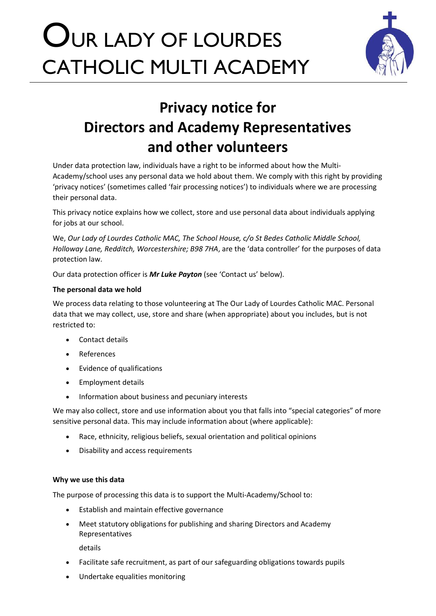# OUR LADY OF LOURDES CATHOLIC MULTI ACADEMY



# **Privacy notice for Directors and Academy Representatives and other volunteers**

Under data protection law, individuals have a right to be informed about how the Multi-Academy/school uses any personal data we hold about them. We comply with this right by providing 'privacy notices' (sometimes called 'fair processing notices') to individuals where we are processing their personal data.

This privacy notice explains how we collect, store and use personal data about individuals applying for jobs at our school.

We, *Our Lady of Lourdes Catholic MAC, The School House, c/o St Bedes Catholic Middle School, Holloway Lane, Redditch, Worcestershire; B98 7HA*, are the 'data controller' for the purposes of data protection law.

Our data protection officer is *Mr Luke Payton* (see 'Contact us' below).

# **The personal data we hold**

We process data relating to those volunteering at The Our Lady of Lourdes Catholic MAC. Personal data that we may collect, use, store and share (when appropriate) about you includes, but is not restricted to:

- Contact details
- References
- Evidence of qualifications
- Employment details
- Information about business and pecuniary interests

We may also collect, store and use information about you that falls into "special categories" of more sensitive personal data. This may include information about (where applicable):

- Race, ethnicity, religious beliefs, sexual orientation and political opinions
- Disability and access requirements

# **Why we use this data**

The purpose of processing this data is to support the Multi-Academy/School to:

- Establish and maintain effective governance
- Meet statutory obligations for publishing and sharing Directors and Academy Representatives

details

- Facilitate safe recruitment, as part of our safeguarding obligations towards pupils
- Undertake equalities monitoring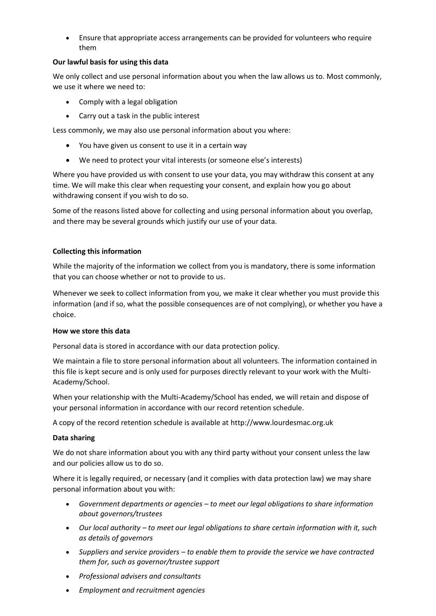• Ensure that appropriate access arrangements can be provided for volunteers who require them

# **Our lawful basis for using this data**

We only collect and use personal information about you when the law allows us to. Most commonly, we use it where we need to:

- Comply with a legal obligation
- Carry out a task in the public interest

Less commonly, we may also use personal information about you where:

- You have given us consent to use it in a certain way
- We need to protect your vital interests (or someone else's interests)

Where you have provided us with consent to use your data, you may withdraw this consent at any time. We will make this clear when requesting your consent, and explain how you go about withdrawing consent if you wish to do so.

Some of the reasons listed above for collecting and using personal information about you overlap, and there may be several grounds which justify our use of your data.

# **Collecting this information**

While the majority of the information we collect from you is mandatory, there is some information that you can choose whether or not to provide to us.

Whenever we seek to collect information from you, we make it clear whether you must provide this information (and if so, what the possible consequences are of not complying), or whether you have a choice.

#### **How we store this data**

Personal data is stored in accordance with our data protection policy.

We maintain a file to store personal information about all volunteers. The information contained in this file is kept secure and is only used for purposes directly relevant to your work with the Multi-Academy/School.

When your relationship with the Multi-Academy/School has ended, we will retain and dispose of your personal information in accordance with our record retention schedule.

A copy of the record retention schedule is available at http://www.lourdesmac.org.uk

#### **Data sharing**

We do not share information about you with any third party without your consent unless the law and our policies allow us to do so.

Where it is legally required, or necessary (and it complies with data protection law) we may share personal information about you with:

- *Government departments or agencies – to meet our legal obligations to share information about governors/trustees*
- *Our local authority – to meet our legal obligations to share certain information with it, such as details of governors*
- *Suppliers and service providers – to enable them to provide the service we have contracted them for, such as governor/trustee support*
- *Professional advisers and consultants*
- *Employment and recruitment agencies*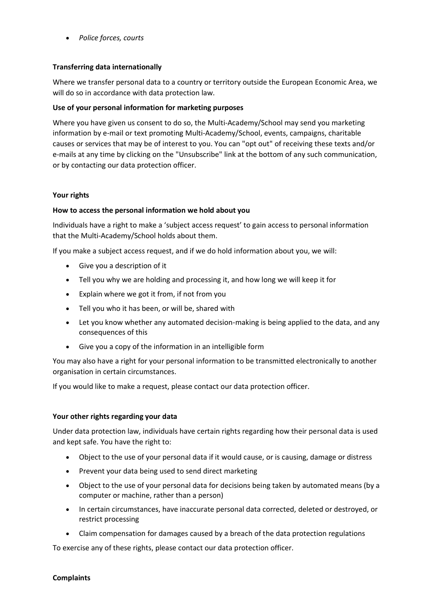• *Police forces, courts*

# **Transferring data internationally**

Where we transfer personal data to a country or territory outside the European Economic Area, we will do so in accordance with data protection law.

### **Use of your personal information for marketing purposes**

Where you have given us consent to do so, the Multi-Academy/School may send you marketing information by e-mail or text promoting Multi-Academy/School, events, campaigns, charitable causes or services that may be of interest to you. You can "opt out" of receiving these texts and/or e-mails at any time by clicking on the "Unsubscribe" link at the bottom of any such communication, or by contacting our data protection officer.

#### **Your rights**

# **How to access the personal information we hold about you**

Individuals have a right to make a 'subject access request' to gain access to personal information that the Multi-Academy/School holds about them.

If you make a subject access request, and if we do hold information about you, we will:

- Give you a description of it
- Tell you why we are holding and processing it, and how long we will keep it for
- Explain where we got it from, if not from you
- Tell you who it has been, or will be, shared with
- Let you know whether any automated decision-making is being applied to the data, and any consequences of this
- Give you a copy of the information in an intelligible form

You may also have a right for your personal information to be transmitted electronically to another organisation in certain circumstances.

If you would like to make a request, please contact our data protection officer.

#### **Your other rights regarding your data**

Under data protection law, individuals have certain rights regarding how their personal data is used and kept safe. You have the right to:

- Object to the use of your personal data if it would cause, or is causing, damage or distress
- Prevent your data being used to send direct marketing
- Object to the use of your personal data for decisions being taken by automated means (by a computer or machine, rather than a person)
- In certain circumstances, have inaccurate personal data corrected, deleted or destroyed, or restrict processing
- Claim compensation for damages caused by a breach of the data protection regulations

To exercise any of these rights, please contact our data protection officer.

#### **Complaints**